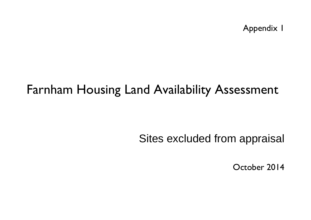Appendix 1

## Farnham Housing Land Availability Assessment

Sites excluded from appraisal

October 2014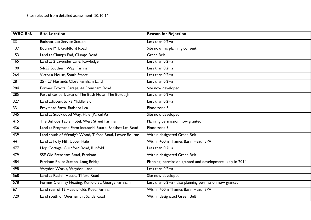| <b>WBC Ref.</b>  | <b>Site Location</b>                                      | <b>Reason for Rejection</b>                                |
|------------------|-----------------------------------------------------------|------------------------------------------------------------|
| $\overline{33}$  | <b>Badshot Lea Service Station</b>                        | Less than 0.2Ha                                            |
| 137              | Bourne Mill, Guildford Road                               | Site now has planning consent                              |
| 153              | Land at Clumps End, Clumps Road                           | <b>Green Belt</b>                                          |
| $\overline{165}$ | Land at 2 Lavender Lane, Rowledge                         | Less than 0.2Ha                                            |
| 190              | 54/55 Southern Way, Farnham                               | Less than 0.2Ha                                            |
| $\overline{264}$ | Victoria House, South Street                              | Less than 0.2Ha                                            |
| 281              | 25 - 27 Hurlands Close Farnham Land                       | Less than 0.2Ha                                            |
| $\overline{284}$ | Former Toyota Garage, 44 Frensham Road                    | Site now developed                                         |
| 285              | Part of car park area of The Bush Hotel, The Borough      | Less than 0.2Ha                                            |
| $\overline{327}$ | Land adjacent to 73 Middlefield                           | Less than 0.2Ha                                            |
| 331              | Preymead Farm, Badshot Lea                                | Flood zone 3                                               |
| 345              | Land at Stockwood Way, Hale (Parcel A)                    | Site now developed                                         |
| 415              | The Bishops Table Hotel, West Street Farnham              | Planning permission now granted                            |
| 436              | Land at Preymead Farm Industrial Estate, Badshot Lea Road | Flood zone 3                                               |
| 439              | Land south of Wendy's Wood, Tilford Road, Lower Bourne    | Within designated Green Belt                               |
| $\overline{441}$ | Land at Folly Hill, Upper Hale                            | Within 400m Thames Basin Heath SPA                         |
| 477              | Hop Cottage, Guildford Road, Runfold                      | Less than 0.2Ha                                            |
| 479              | SSE Old Frensham Road, Farnham                            | Within designated Green Belt                               |
| 484              | Farnham Police Station, Long Bridge                       | Planning permission granted and development likely in 2014 |
| 498              | Weydon Works, Weydon Lane                                 | Less than 0.2Ha                                            |
| 568              | Land at Redhill House, Tilford Road                       | Site now developed                                         |
| $\overline{578}$ | Former Clenmay Heating, Runfold St. George Farnham        | Less than 0.2Ha - also planning permission now granted     |
| 671              | Land rear of 12 Heathyfields Road, Farnham                | Within 400m Thames Basin Heath SPA                         |
| $\overline{720}$ | Land south of Quernsmuir, Sands Road                      | Within designated Green Belt                               |